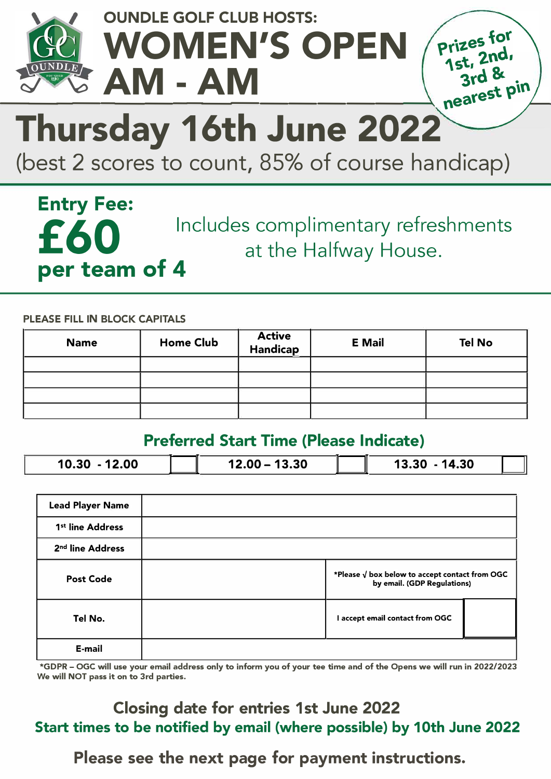

### **OUNDLE GOLF CLUB HOSTS:**  WOMEN'S OPEN **A \_M \_\_ -\_A \_ M \_\_\_\_\_\_ \_\_\_\_\_\_,\_** <sup>n</sup>



# **Thursday 16th June 2022**

(best 2 scores to count, 85% of course handicap)

**Entry Fee: per team of 4** 

Includes complimentary refreshments at the Halfway House.

**PLEASE FILL IN BLOCK CAPITALS** 

| <b>Name</b> | <b>Home Club</b> | <b>Active<br/>Handicap</b> | <b>E</b> Mail | Tel No |
|-------------|------------------|----------------------------|---------------|--------|
|             |                  |                            |               |        |
|             |                  |                            |               |        |
|             |                  |                            |               |        |
|             |                  |                            |               |        |

#### **Preferred Start Time (Please Indicate)**

| 10.30<br>.00 | 13.30<br>12.00<br><u>in the company of the company of the company of the company of the company of the company of the company of the company of the company of the company of the company of the company of the company of the company of the comp</u> | 14.30<br>73.3L |
|--------------|--------------------------------------------------------------------------------------------------------------------------------------------------------------------------------------------------------------------------------------------------------|----------------|

| <b>Lead Player Name</b>      |                                                                                        |  |
|------------------------------|----------------------------------------------------------------------------------------|--|
| 1 <sup>st</sup> line Address |                                                                                        |  |
| 2 <sup>nd</sup> line Address |                                                                                        |  |
| <b>Post Code</b>             | *Please $\sqrt{ }$ box below to accept contact from OGC<br>by email. (GDP Regulations) |  |
| Tel No.                      | I accept email contact from OGC                                                        |  |
| E-mail                       |                                                                                        |  |

**\*GDPR - OGC will use your email address only to inform you of your tee time and of the Opens we will run in 2022/2023 We will NOT pass it on to 3rd parties.** 

#### **Closing date for entries 1st June 2022 Start times to be notified by email (where possible) by 10th June 2022**

**Please see the next page for payment instructions.**